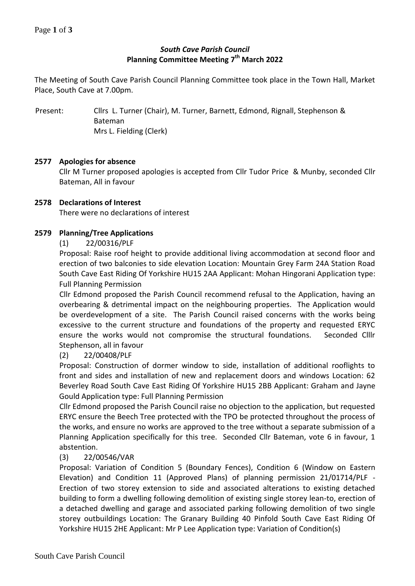# *South Cave Parish Council* **Planning Committee Meeting 7 th March 2022**

The Meeting of South Cave Parish Council Planning Committee took place in the Town Hall, Market Place, South Cave at 7.00pm.

Present: Cllrs L. Turner (Chair), M. Turner, Barnett, Edmond, Rignall, Stephenson & Bateman Mrs L. Fielding (Clerk)

### **2577 Apologies for absence**

Cllr M Turner proposed apologies is accepted from Cllr Tudor Price & Munby, seconded Cllr Bateman, All in favour

### **2578 Declarations of Interest**

There were no declarations of interest

### **2579 Planning/Tree Applications**

(1) 22/00316/PLF

Proposal: Raise roof height to provide additional living accommodation at second floor and erection of two balconies to side elevation Location: Mountain Grey Farm 24A Station Road South Cave East Riding Of Yorkshire HU15 2AA Applicant: Mohan Hingorani Application type: Full Planning Permission

Cllr Edmond proposed the Parish Council recommend refusal to the Application, having an overbearing & detrimental impact on the neighbouring properties. The Application would be overdevelopment of a site. The Parish Council raised concerns with the works being excessive to the current structure and foundations of the property and requested ERYC ensure the works would not compromise the structural foundations. Seconded Clllr Stephenson, all in favour

## (2) 22/00408/PLF

Proposal: Construction of dormer window to side, installation of additional rooflights to front and sides and installation of new and replacement doors and windows Location: 62 Beverley Road South Cave East Riding Of Yorkshire HU15 2BB Applicant: Graham and Jayne Gould Application type: Full Planning Permission

Cllr Edmond proposed the Parish Council raise no objection to the application, but requested ERYC ensure the Beech Tree protected with the TPO be protected throughout the process of the works, and ensure no works are approved to the tree without a separate submission of a Planning Application specifically for this tree. Seconded Cllr Bateman, vote 6 in favour, 1 abstention.

## (3) 22/00546/VAR

Proposal: Variation of Condition 5 (Boundary Fences), Condition 6 (Window on Eastern Elevation) and Condition 11 (Approved Plans) of planning permission 21/01714/PLF - Erection of two storey extension to side and associated alterations to existing detached building to form a dwelling following demolition of existing single storey lean-to, erection of a detached dwelling and garage and associated parking following demolition of two single storey outbuildings Location: The Granary Building 40 Pinfold South Cave East Riding Of Yorkshire HU15 2HE Applicant: Mr P Lee Application type: Variation of Condition(s)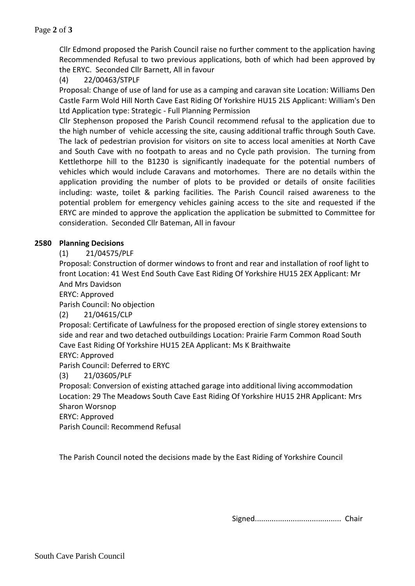Cllr Edmond proposed the Parish Council raise no further comment to the application having Recommended Refusal to two previous applications, both of which had been approved by the ERYC. Seconded Cllr Barnett, All in favour

(4) 22/00463/STPLF

Proposal: Change of use of land for use as a camping and caravan site Location: Williams Den Castle Farm Wold Hill North Cave East Riding Of Yorkshire HU15 2LS Applicant: William's Den Ltd Application type: Strategic - Full Planning Permission

Cllr Stephenson proposed the Parish Council recommend refusal to the application due to the high number of vehicle accessing the site, causing additional traffic through South Cave. The lack of pedestrian provision for visitors on site to access local amenities at North Cave and South Cave with no footpath to areas and no Cycle path provision. The turning from Kettlethorpe hill to the B1230 is significantly inadequate for the potential numbers of vehicles which would include Caravans and motorhomes. There are no details within the application providing the number of plots to be provided or details of onsite facilities including: waste, toilet & parking facilities. The Parish Council raised awareness to the potential problem for emergency vehicles gaining access to the site and requested if the ERYC are minded to approve the application the application be submitted to Committee for consideration. Seconded Cllr Bateman, All in favour

#### **2580 Planning Decisions**

(1) 21/04575/PLF

Proposal: Construction of dormer windows to front and rear and installation of roof light to front Location: 41 West End South Cave East Riding Of Yorkshire HU15 2EX Applicant: Mr And Mrs Davidson

ERYC: Approved

Parish Council: No objection

(2) 21/04615/CLP

Proposal: Certificate of Lawfulness for the proposed erection of single storey extensions to side and rear and two detached outbuildings Location: Prairie Farm Common Road South Cave East Riding Of Yorkshire HU15 2EA Applicant: Ms K Braithwaite

ERYC: Approved

Parish Council: Deferred to ERYC

(3) 21/03605/PLF

Proposal: Conversion of existing attached garage into additional living accommodation Location: 29 The Meadows South Cave East Riding Of Yorkshire HU15 2HR Applicant: Mrs Sharon Worsnop

ERYC: Approved

Parish Council: Recommend Refusal

The Parish Council noted the decisions made by the East Riding of Yorkshire Council

Signed......................................... Chair